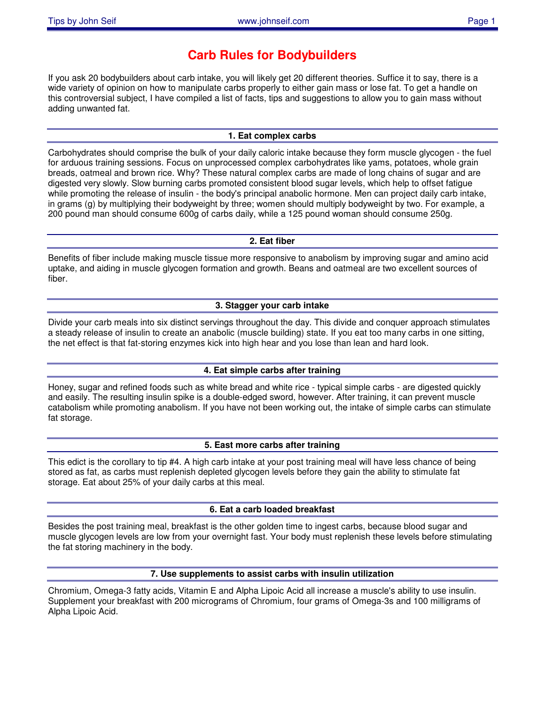# **Carb Rules for Bodybuilders**

If you ask 20 bodybuilders about carb intake, you will likely get 20 different theories. Suffice it to say, there is a wide variety of opinion on how to manipulate carbs properly to either gain mass or lose fat. To get a handle on this controversial subject, I have compiled a list of facts, tips and suggestions to allow you to gain mass without adding unwanted fat.

## **1. Eat complex carbs**

Carbohydrates should comprise the bulk of your daily caloric intake because they form muscle glycogen - the fuel for arduous training sessions. Focus on unprocessed complex carbohydrates like yams, potatoes, whole grain breads, oatmeal and brown rice. Why? These natural complex carbs are made of long chains of sugar and are digested very slowly. Slow burning carbs promoted consistent blood sugar levels, which help to offset fatigue while promoting the release of insulin - the body's principal anabolic hormone. Men can project daily carb intake, in grams (g) by multiplying their bodyweight by three; women should multiply bodyweight by two. For example, a 200 pound man should consume 600g of carbs daily, while a 125 pound woman should consume 250g.

## **2. Eat fiber**

Benefits of fiber include making muscle tissue more responsive to anabolism by improving sugar and amino acid uptake, and aiding in muscle glycogen formation and growth. Beans and oatmeal are two excellent sources of fiber.

## **3. Stagger your carb intake**

Divide your carb meals into six distinct servings throughout the day. This divide and conquer approach stimulates a steady release of insulin to create an anabolic (muscle building) state. If you eat too many carbs in one sitting, the net effect is that fat-storing enzymes kick into high hear and you lose than lean and hard look.

## **4. Eat simple carbs after training**

Honey, sugar and refined foods such as white bread and white rice - typical simple carbs - are digested quickly and easily. The resulting insulin spike is a double-edged sword, however. After training, it can prevent muscle catabolism while promoting anabolism. If you have not been working out, the intake of simple carbs can stimulate fat storage.

## **5. East more carbs after training**

This edict is the corollary to tip #4. A high carb intake at your post training meal will have less chance of being stored as fat, as carbs must replenish depleted glycogen levels before they gain the ability to stimulate fat storage. Eat about 25% of your daily carbs at this meal.

## **6. Eat a carb loaded breakfast**

Besides the post training meal, breakfast is the other golden time to ingest carbs, because blood sugar and muscle glycogen levels are low from your overnight fast. Your body must replenish these levels before stimulating the fat storing machinery in the body.

#### **7. Use supplements to assist carbs with insulin utilization**

Chromium, Omega-3 fatty acids, Vitamin E and Alpha Lipoic Acid all increase a muscle's ability to use insulin. Supplement your breakfast with 200 micrograms of Chromium, four grams of Omega-3s and 100 milligrams of Alpha Lipoic Acid.